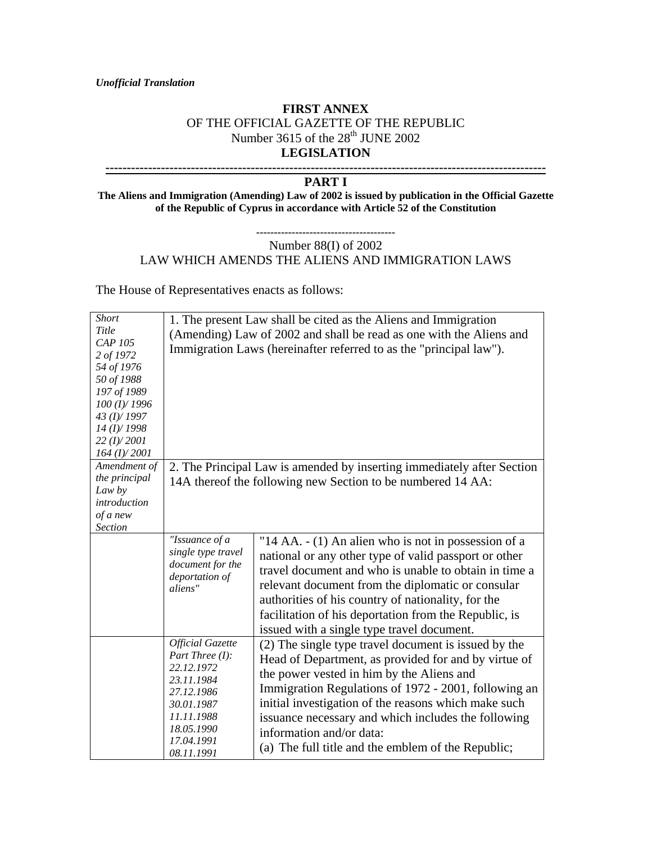*Unofficial Translation*

## **FIRST ANNEX** OF THE OFFICIAL GAZETTE OF THE REPUBLIC Number 3615 of the 28<sup>th</sup> JUNE 2002 **LEGISLATION**

## **-------------------------------------------------------------------------------------------------------**

## **PART I**

**The Aliens and Immigration (Amending) Law of 2002 is issued by publication in the Official Gazette of the Republic of Cyprus in accordance with Article 52 of the Constitution**

## **---------------------------------------** Number 88(I) of 2002 LAW WHICH AMENDS THE ALIENS AND IMMIGRATION LAWS

The House of Representatives enacts as follows:

| <b>Short</b><br>Title<br>CAP 105<br>2 of 1972<br>54 of 1976<br>50 of 1988<br>197 of 1989<br>100 (I)/ 1996<br>43 (I)/1997<br>$14$ (I)/1998<br>22 (I)/2001<br>$164$ (I)/2001 |                                                                                                                                                               | 1. The present Law shall be cited as the Aliens and Immigration<br>(Amending) Law of 2002 and shall be read as one with the Aliens and<br>Immigration Laws (hereinafter referred to as the "principal law").                                                                                                                                                                                                       |  |
|----------------------------------------------------------------------------------------------------------------------------------------------------------------------------|---------------------------------------------------------------------------------------------------------------------------------------------------------------|--------------------------------------------------------------------------------------------------------------------------------------------------------------------------------------------------------------------------------------------------------------------------------------------------------------------------------------------------------------------------------------------------------------------|--|
| Amendment of                                                                                                                                                               | 2. The Principal Law is amended by inserting immediately after Section<br>14A thereof the following new Section to be numbered 14 AA:                         |                                                                                                                                                                                                                                                                                                                                                                                                                    |  |
| the principal<br>Law by<br>introduction<br>of a new<br><b>Section</b>                                                                                                      |                                                                                                                                                               |                                                                                                                                                                                                                                                                                                                                                                                                                    |  |
|                                                                                                                                                                            | "Issuance of a<br>single type travel<br>document for the<br>deportation of<br>aliens"                                                                         | "14 AA. - (1) An alien who is not in possession of a<br>national or any other type of valid passport or other<br>travel document and who is unable to obtain in time a<br>relevant document from the diplomatic or consular<br>authorities of his country of nationality, for the<br>facilitation of his deportation from the Republic, is<br>issued with a single type travel document.                           |  |
|                                                                                                                                                                            | <b>Official Gazette</b><br>Part Three $(I)$ :<br>22.12.1972<br>23.11.1984<br>27.12.1986<br>30.01.1987<br>11.11.1988<br>18.05.1990<br>17.04.1991<br>08.11.1991 | (2) The single type travel document is issued by the<br>Head of Department, as provided for and by virtue of<br>the power vested in him by the Aliens and<br>Immigration Regulations of 1972 - 2001, following an<br>initial investigation of the reasons which make such<br>issuance necessary and which includes the following<br>information and/or data:<br>(a) The full title and the emblem of the Republic; |  |